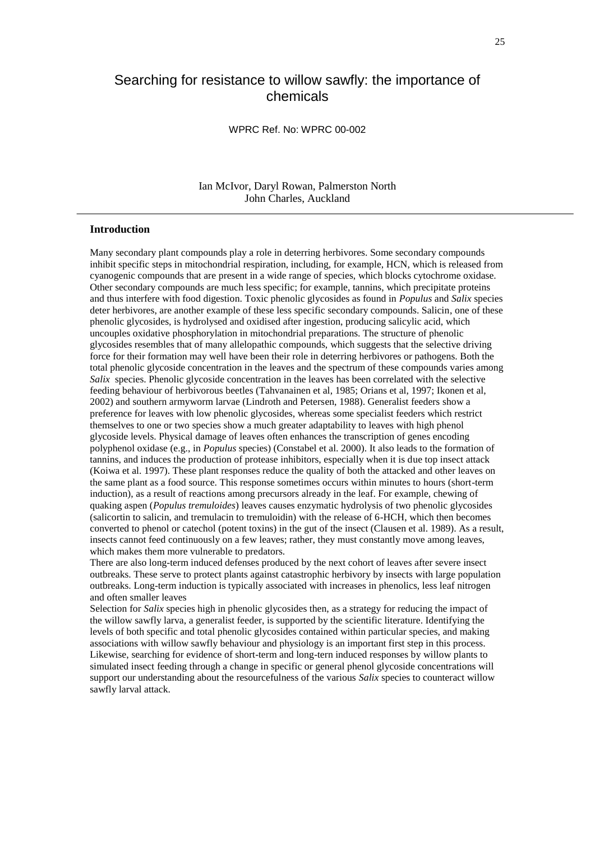# Searching for resistance to willow sawfly: the importance of chemicals

## WPRC Ref. No: WPRC 00-002

# Ian McIvor, Daryl Rowan, Palmerston North John Charles, Auckland

#### **Introduction**

Many secondary plant compounds play a role in deterring herbivores. Some secondary compounds inhibit specific steps in mitochondrial respiration, including, for example, HCN, which is released from cyanogenic compounds that are present in a wide range of species, which blocks cytochrome oxidase. Other secondary compounds are much less specific; for example, tannins, which precipitate proteins and thus interfere with food digestion. Toxic phenolic glycosides as found in *Populus* and *Salix* species deter herbivores, are another example of these less specific secondary compounds. Salicin, one of these phenolic glycosides, is hydrolysed and oxidised after ingestion, producing salicylic acid, which uncouples oxidative phosphorylation in mitochondrial preparations. The structure of phenolic glycosides resembles that of many allelopathic compounds, which suggests that the selective driving force for their formation may well have been their role in deterring herbivores or pathogens. Both the total phenolic glycoside concentration in the leaves and the spectrum of these compounds varies among *Salix* species. Phenolic glycoside concentration in the leaves has been correlated with the selective feeding behaviour of herbivorous beetles (Tahvanainen et al, 1985; Orians et al, 1997; Ikonen et al, 2002) and southern armyworm larvae (Lindroth and Petersen, 1988). Generalist feeders show a preference for leaves with low phenolic glycosides, whereas some specialist feeders which restrict themselves to one or two species show a much greater adaptability to leaves with high phenol glycoside levels. Physical damage of leaves often enhances the transcription of genes encoding polyphenol oxidase (e.g., in *Populus* species) (Constabel et al. 2000). It also leads to the formation of tannins, and induces the production of protease inhibitors, especially when it is due top insect attack (Koiwa et al. 1997). These plant responses reduce the quality of both the attacked and other leaves on the same plant as a food source. This response sometimes occurs within minutes to hours (short-term induction), as a result of reactions among precursors already in the leaf. For example, chewing of quaking aspen (*Populus tremuloides*) leaves causes enzymatic hydrolysis of two phenolic glycosides (salicortin to salicin, and tremulacin to tremuloidin) with the release of 6-HCH, which then becomes converted to phenol or catechol (potent toxins) in the gut of the insect (Clausen et al. 1989). As a result, insects cannot feed continuously on a few leaves; rather, they must constantly move among leaves, which makes them more vulnerable to predators.

There are also long-term induced defenses produced by the next cohort of leaves after severe insect outbreaks. These serve to protect plants against catastrophic herbivory by insects with large population outbreaks. Long-term induction is typically associated with increases in phenolics, less leaf nitrogen and often smaller leaves

Selection for *Salix* species high in phenolic glycosides then, as a strategy for reducing the impact of the willow sawfly larva, a generalist feeder, is supported by the scientific literature. Identifying the levels of both specific and total phenolic glycosides contained within particular species, and making associations with willow sawfly behaviour and physiology is an important first step in this process. Likewise, searching for evidence of short-term and long-tern induced responses by willow plants to simulated insect feeding through a change in specific or general phenol glycoside concentrations will support our understanding about the resourcefulness of the various *Salix* species to counteract willow sawfly larval attack.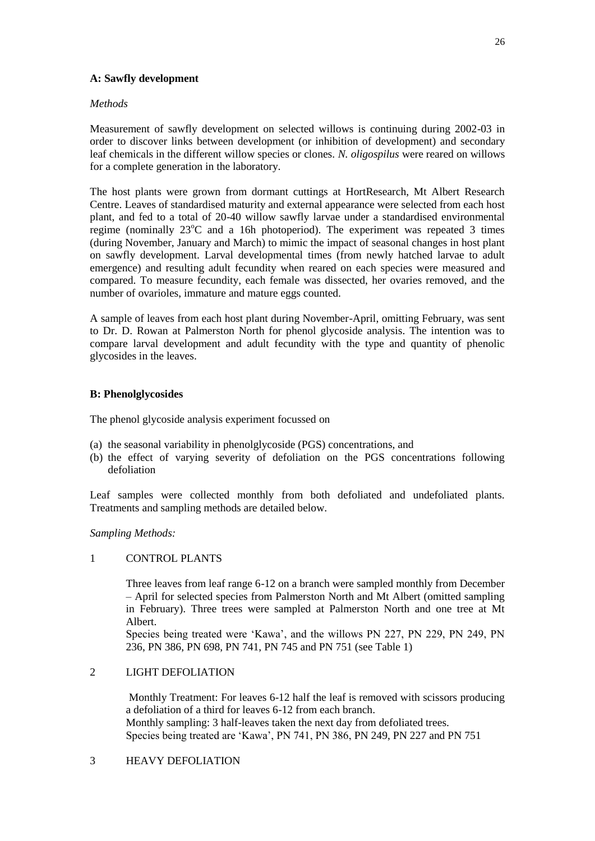# **A: Sawfly development**

# *Methods*

Measurement of sawfly development on selected willows is continuing during 2002-03 in order to discover links between development (or inhibition of development) and secondary leaf chemicals in the different willow species or clones. *N. oligospilus* were reared on willows for a complete generation in the laboratory.

The host plants were grown from dormant cuttings at HortResearch, Mt Albert Research Centre. Leaves of standardised maturity and external appearance were selected from each host plant, and fed to a total of 20-40 willow sawfly larvae under a standardised environmental regime (nominally  $23^{\circ}$ C and a 16h photoperiod). The experiment was repeated 3 times (during November, January and March) to mimic the impact of seasonal changes in host plant on sawfly development. Larval developmental times (from newly hatched larvae to adult emergence) and resulting adult fecundity when reared on each species were measured and compared. To measure fecundity, each female was dissected, her ovaries removed, and the number of ovarioles, immature and mature eggs counted.

A sample of leaves from each host plant during November-April, omitting February, was sent to Dr. D. Rowan at Palmerston North for phenol glycoside analysis. The intention was to compare larval development and adult fecundity with the type and quantity of phenolic glycosides in the leaves.

# **B: Phenolglycosides**

The phenol glycoside analysis experiment focussed on

- (a) the seasonal variability in phenolglycoside (PGS) concentrations, and
- (b) the effect of varying severity of defoliation on the PGS concentrations following defoliation

Leaf samples were collected monthly from both defoliated and undefoliated plants. Treatments and sampling methods are detailed below.

*Sampling Methods:*

#### 1 CONTROL PLANTS

Three leaves from leaf range 6-12 on a branch were sampled monthly from December – April for selected species from Palmerston North and Mt Albert (omitted sampling in February). Three trees were sampled at Palmerston North and one tree at Mt Albert.

Species being treated were 'Kawa', and the willows PN 227, PN 229, PN 249, PN 236, PN 386, PN 698, PN 741, PN 745 and PN 751 (see Table 1)

# 2 LIGHT DEFOLIATION

Monthly Treatment: For leaves 6-12 half the leaf is removed with scissors producing a defoliation of a third for leaves 6-12 from each branch. Monthly sampling: 3 half-leaves taken the next day from defoliated trees. Species being treated are 'Kawa', PN 741, PN 386, PN 249, PN 227 and PN 751

# 3 HEAVY DEFOLIATION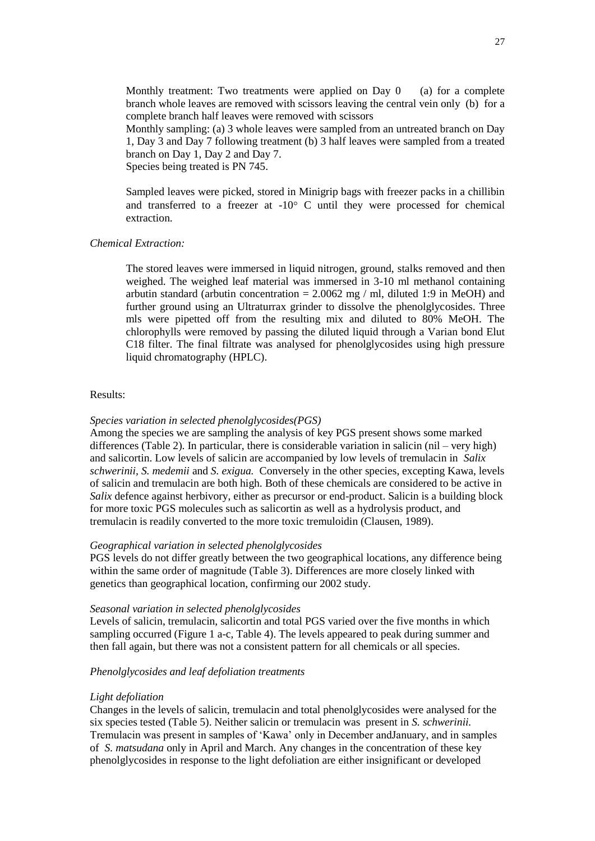Monthly treatment: Two treatments were applied on Day  $0$  (a) for a complete branch whole leaves are removed with scissors leaving the central vein only (b) for a complete branch half leaves were removed with scissors

Monthly sampling: (a) 3 whole leaves were sampled from an untreated branch on Day 1, Day 3 and Day 7 following treatment (b) 3 half leaves were sampled from a treated branch on Day 1, Day 2 and Day 7. Species being treated is PN 745.

Sampled leaves were picked, stored in Minigrip bags with freezer packs in a chillibin and transferred to a freezer at  $-10^{\circ}$  C until they were processed for chemical extraction.

#### *Chemical Extraction:*

The stored leaves were immersed in liquid nitrogen, ground, stalks removed and then weighed. The weighed leaf material was immersed in 3-10 ml methanol containing arbutin standard (arbutin concentration =  $2.0062$  mg / ml, diluted 1:9 in MeOH) and further ground using an Ultraturrax grinder to dissolve the phenolglycosides. Three mls were pipetted off from the resulting mix and diluted to 80% MeOH. The chlorophylls were removed by passing the diluted liquid through a Varian bond Elut C18 filter. The final filtrate was analysed for phenolglycosides using high pressure liquid chromatography (HPLC).

#### Results:

#### *Species variation in selected phenolglycosides(PGS)*

Among the species we are sampling the analysis of key PGS present shows some marked differences (Table 2). In particular, there is considerable variation in salicin (nil – very high) and salicortin. Low levels of salicin are accompanied by low levels of tremulacin in *Salix schwerinii, S. medemii* and *S. exigua.* Conversely in the other species, excepting Kawa, levels of salicin and tremulacin are both high. Both of these chemicals are considered to be active in *Salix* defence against herbivory, either as precursor or end-product. Salicin is a building block for more toxic PGS molecules such as salicortin as well as a hydrolysis product, and tremulacin is readily converted to the more toxic tremuloidin (Clausen, 1989).

#### *Geographical variation in selected phenolglycosides*

PGS levels do not differ greatly between the two geographical locations, any difference being within the same order of magnitude (Table 3). Differences are more closely linked with genetics than geographical location, confirming our 2002 study.

#### *Seasonal variation in selected phenolglycosides*

Levels of salicin, tremulacin, salicortin and total PGS varied over the five months in which sampling occurred (Figure 1 a-c, Table 4). The levels appeared to peak during summer and then fall again, but there was not a consistent pattern for all chemicals or all species.

# *Phenolglycosides and leaf defoliation treatments*

#### *Light defoliation*

Changes in the levels of salicin, tremulacin and total phenolglycosides were analysed for the six species tested (Table 5). Neither salicin or tremulacin was present in *S. schwerinii.*  Tremulacin was present in samples of 'Kawa' only in December andJanuary, and in samples of *S. matsudana* only in April and March. Any changes in the concentration of these key phenolglycosides in response to the light defoliation are either insignificant or developed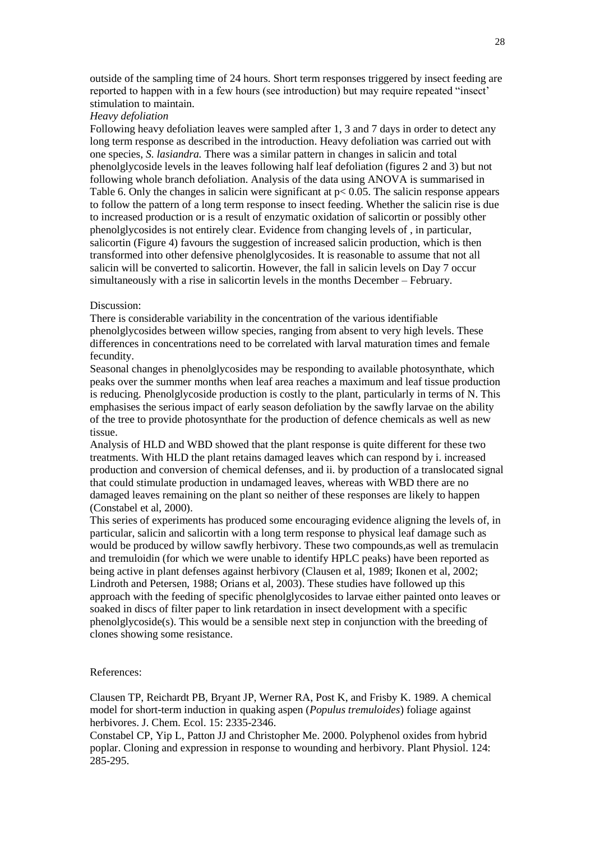outside of the sampling time of 24 hours. Short term responses triggered by insect feeding are reported to happen with in a few hours (see introduction) but may require repeated "insect' stimulation to maintain.

# *Heavy defoliation*

Following heavy defoliation leaves were sampled after 1, 3 and 7 days in order to detect any long term response as described in the introduction. Heavy defoliation was carried out with one species, *S. lasiandra.* There was a similar pattern in changes in salicin and total phenolglycoside levels in the leaves following half leaf defoliation (figures 2 and 3) but not following whole branch defoliation. Analysis of the data using ANOVA is summarised in Table 6. Only the changes in salicin were significant at  $p < 0.05$ . The salicin response appears to follow the pattern of a long term response to insect feeding. Whether the salicin rise is due to increased production or is a result of enzymatic oxidation of salicortin or possibly other phenolglycosides is not entirely clear. Evidence from changing levels of , in particular, salicortin (Figure 4) favours the suggestion of increased salicin production, which is then transformed into other defensive phenolglycosides. It is reasonable to assume that not all salicin will be converted to salicortin. However, the fall in salicin levels on Day 7 occur simultaneously with a rise in salicortin levels in the months December – February.

#### Discussion:

There is considerable variability in the concentration of the various identifiable phenolglycosides between willow species, ranging from absent to very high levels. These differences in concentrations need to be correlated with larval maturation times and female fecundity.

Seasonal changes in phenolglycosides may be responding to available photosynthate, which peaks over the summer months when leaf area reaches a maximum and leaf tissue production is reducing. Phenolglycoside production is costly to the plant, particularly in terms of N. This emphasises the serious impact of early season defoliation by the sawfly larvae on the ability of the tree to provide photosynthate for the production of defence chemicals as well as new tissue.

Analysis of HLD and WBD showed that the plant response is quite different for these two treatments. With HLD the plant retains damaged leaves which can respond by i. increased production and conversion of chemical defenses, and ii. by production of a translocated signal that could stimulate production in undamaged leaves, whereas with WBD there are no damaged leaves remaining on the plant so neither of these responses are likely to happen (Constabel et al, 2000).

This series of experiments has produced some encouraging evidence aligning the levels of, in particular, salicin and salicortin with a long term response to physical leaf damage such as would be produced by willow sawfly herbivory. These two compounds,as well as tremulacin and tremuloidin (for which we were unable to identify HPLC peaks) have been reported as being active in plant defenses against herbivory (Clausen et al, 1989; Ikonen et al, 2002; Lindroth and Petersen, 1988; Orians et al, 2003). These studies have followed up this approach with the feeding of specific phenolglycosides to larvae either painted onto leaves or soaked in discs of filter paper to link retardation in insect development with a specific  $phenolglycoside(s)$ . This would be a sensible next step in conjunction with the breeding of clones showing some resistance.

#### References:

Clausen TP, Reichardt PB, Bryant JP, Werner RA, Post K, and Frisby K. 1989. A chemical model for short-term induction in quaking aspen (*Populus tremuloides*) foliage against herbivores. J. Chem. Ecol. 15: 2335-2346.

Constabel CP, Yip L, Patton JJ and Christopher Me. 2000. Polyphenol oxides from hybrid poplar. Cloning and expression in response to wounding and herbivory. Plant Physiol. 124: 285-295.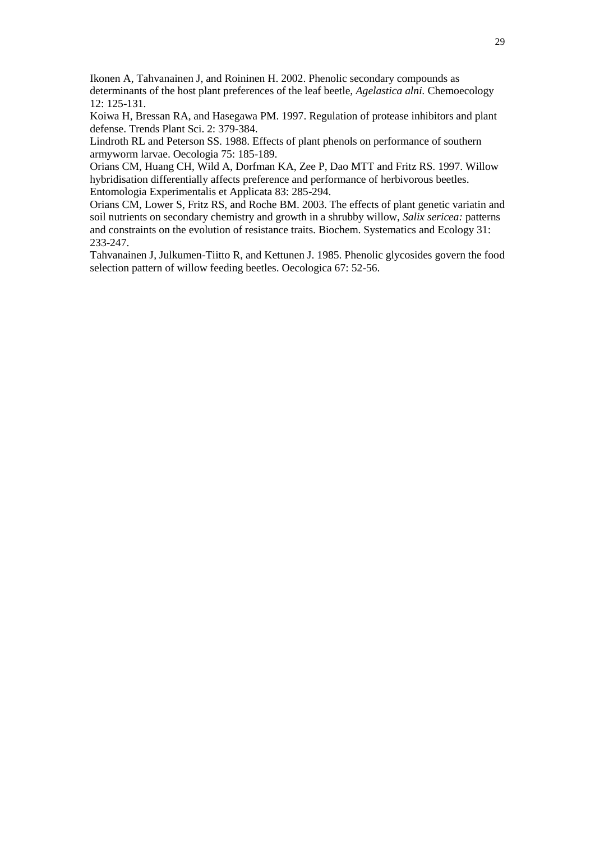Ikonen A, Tahvanainen J, and Roininen H. 2002. Phenolic secondary compounds as determinants of the host plant preferences of the leaf beetle, *Agelastica alni.* Chemoecology 12: 125-131.

Koiwa H, Bressan RA, and Hasegawa PM. 1997. Regulation of protease inhibitors and plant defense. Trends Plant Sci. 2: 379-384.

Lindroth RL and Peterson SS. 1988. Effects of plant phenols on performance of southern armyworm larvae. Oecologia 75: 185-189.

Orians CM, Huang CH, Wild A, Dorfman KA, Zee P, Dao MTT and Fritz RS. 1997. Willow hybridisation differentially affects preference and performance of herbivorous beetles. Entomologia Experimentalis et Applicata 83: 285-294.

Orians CM, Lower S, Fritz RS, and Roche BM. 2003. The effects of plant genetic variatin and soil nutrients on secondary chemistry and growth in a shrubby willow, *Salix sericea:* patterns and constraints on the evolution of resistance traits. Biochem. Systematics and Ecology 31: 233-247.

Tahvanainen J, Julkumen-Tiitto R, and Kettunen J. 1985. Phenolic glycosides govern the food selection pattern of willow feeding beetles. Oecologica 67: 52-56.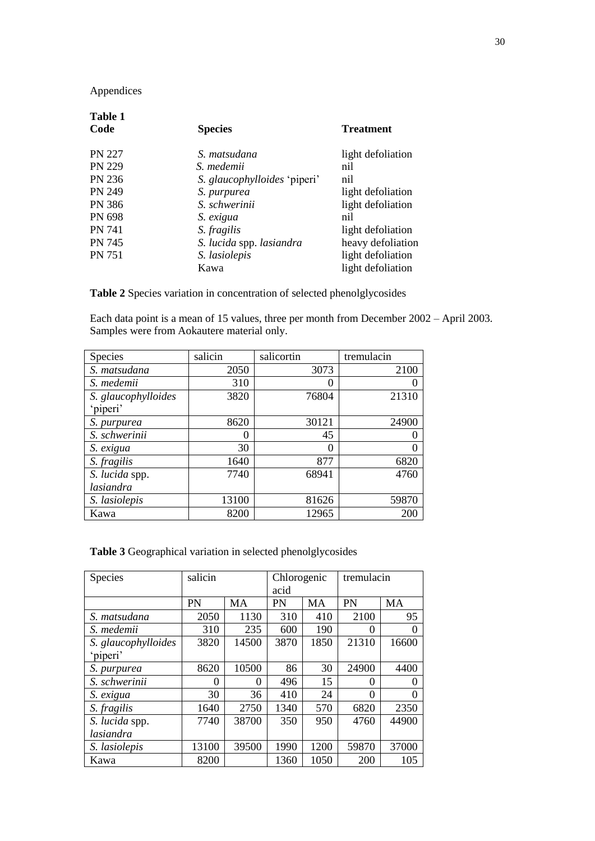# Appendices

| <b>Table 1</b><br>Code | <b>Species</b>               | <b>Treatment</b>  |  |
|------------------------|------------------------------|-------------------|--|
| <b>PN 227</b>          | S. matsudana                 | light defoliation |  |
| <b>PN 229</b>          | S. medemii                   | nil               |  |
| PN 236                 | S. glaucophylloides 'piperi' | nil               |  |
| <b>PN 249</b>          | S. purpurea                  | light defoliation |  |
| PN 386                 | S. schwerinii                | light defoliation |  |
| PN 698                 | S. exigua                    | nil               |  |
| <b>PN 741</b>          | S. fragilis                  | light defoliation |  |
| <b>PN 745</b>          | S. lucida spp. lasiandra     | heavy defoliation |  |
| <b>PN 751</b>          | S. lasiolepis                | light defoliation |  |
|                        | Kawa                         | light defoliation |  |
|                        |                              |                   |  |

**Table 2** Species variation in concentration of selected phenolglycosides

Each data point is a mean of 15 values, three per month from December 2002 – April 2003. Samples were from Aokautere material only.

| Species             | salicin  | salicortin | tremulacin |
|---------------------|----------|------------|------------|
| S. matsudana        | 2050     | 3073       | 2100       |
| S. medemii          | 310      |            |            |
| S. glaucophylloides | 3820     | 76804      | 21310      |
| 'piperi'            |          |            |            |
| S. purpurea         | 8620     | 30121      | 24900      |
| S. schwerinii       | $\theta$ | 45         |            |
| S. exigua           | 30       | 0          |            |
| S. fragilis         | 1640     | 877        | 6820       |
| S. lucida spp.      | 7740     | 68941      | 4760       |
| lasiandra           |          |            |            |
| S. lasiolepis       | 13100    | 81626      | 59870      |
| Kawa                | 8200     | 12965      | 200        |

**Table 3** Geographical variation in selected phenolglycosides

| Species             | salicin |           | Chlorogenic |      | tremulacin |       |
|---------------------|---------|-----------|-------------|------|------------|-------|
|                     |         |           | acid        |      |            |       |
|                     | PN      | <b>MA</b> | PN          | MA   | PN         | MA    |
| S. matsudana        | 2050    | 1130      | 310         | 410  | 2100       | 95    |
| S. medemii          | 310     | 235       | 600         | 190  | 0          | 0     |
| S. glaucophylloides | 3820    | 14500     | 3870        | 1850 | 21310      | 16600 |
| 'piperi'            |         |           |             |      |            |       |
| S. purpurea         | 8620    | 10500     | 86          | 30   | 24900      | 4400  |
| S. schwerinii       | 0       | 0         | 496         | 15   | 0          | 0     |
| S. exigua           | 30      | 36        | 410         | 24   | $\Omega$   | 0     |
| S. fragilis         | 1640    | 2750      | 1340        | 570  | 6820       | 2350  |
| S. lucida spp.      | 7740    | 38700     | 350         | 950  | 4760       | 44900 |
| lasiandra           |         |           |             |      |            |       |
| S. lasiolepis       | 13100   | 39500     | 1990        | 1200 | 59870      | 37000 |
| Kawa                | 8200    |           | 1360        | 1050 | 200        | 105   |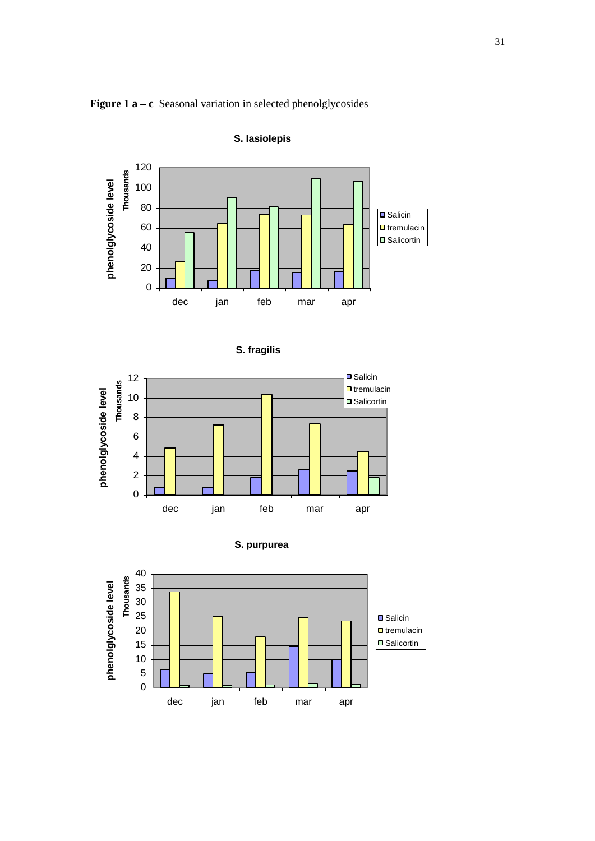



# **S. lasiolepis**





**S. purpurea**

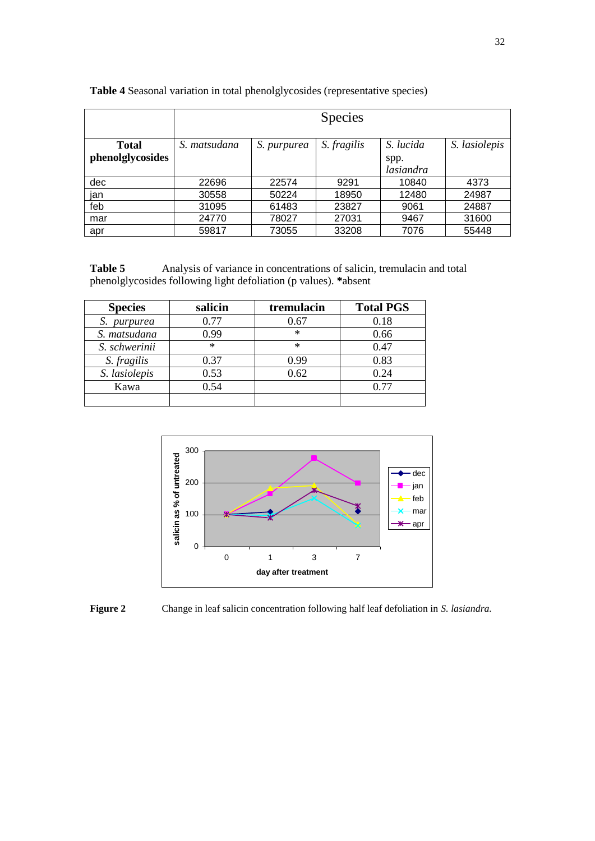|                  | <b>Species</b> |             |             |                   |               |
|------------------|----------------|-------------|-------------|-------------------|---------------|
| <b>Total</b>     | S. matsudana   | S. purpurea | S. fragilis | S. lucida         | S. lasiolepis |
| phenolglycosides |                |             |             | spp.<br>lasiandra |               |
| dec              | 22696          | 22574       | 9291        | 10840             | 4373          |
| jan              | 30558          | 50224       | 18950       | 12480             | 24987         |
| feb              | 31095          | 61483       | 23827       | 9061              | 24887         |
| mar              | 24770          | 78027       | 27031       | 9467              | 31600         |
| apr              | 59817          | 73055       | 33208       | 7076              | 55448         |

**Table 4** Seasonal variation in total phenolglycosides (representative species)

**Table 5** Analysis of variance in concentrations of salicin, tremulacin and total phenolglycosides following light defoliation (p values). **\***absent

| <b>Species</b> | salicin | tremulacin | <b>Total PGS</b> |  |
|----------------|---------|------------|------------------|--|
| S. purpurea    | 0.77    | 0.67       | 0.18             |  |
| S. matsudana   | 0.99    | $\ast$     | 0.66             |  |
| S. schwerinii  | $\ast$  | $\ast$     | 0.47             |  |
| S. fragilis    | 0.37    | 0.99       | 0.83             |  |
| S. lasiolepis  | 0.53    | 0.62       | 0.24             |  |
| Kawa           | 0.54    |            | 0.77             |  |
|                |         |            |                  |  |



**Figure 2** Change in leaf salicin concentration following half leaf defoliation in *S. lasiandra.*